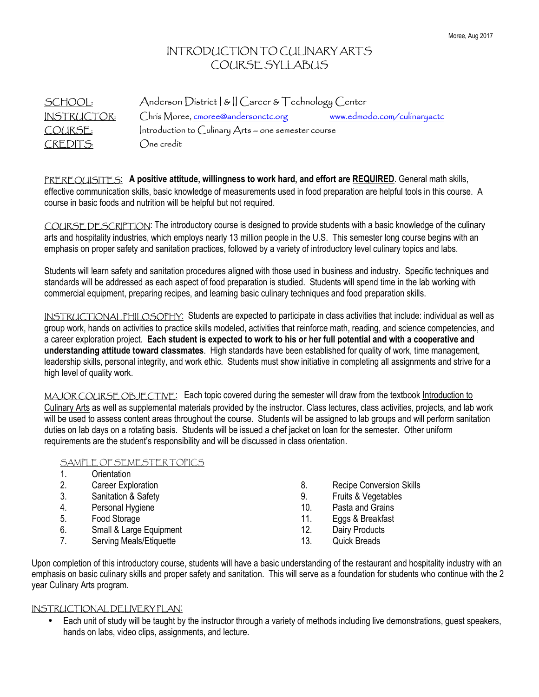#### INTRODUCTION TO CULINARY ARTS COURSE SYLLABUS

| <b>SCHOOL:</b>     | Anderson District   &    Career & Technology Center   |                             |  |
|--------------------|-------------------------------------------------------|-----------------------------|--|
| <b>INSTRUCTOR:</b> | Chris Moree, cmoree@andersonctc.org                   | www.edmodo.com/culinaryactc |  |
| COURSE:            | Introduction to Culinary $Arts$ – one semester course |                             |  |
| <b>CREDITS:</b>    | $\bigcirc$ ne credit                                  |                             |  |

PREREQUISITES: **A positive attitude, willingness to work hard, and effort are REQUIRED**. General math skills, effective communication skills, basic knowledge of measurements used in food preparation are helpful tools in this course. A course in basic foods and nutrition will be helpful but not required.

COURSE DESCRIPTION: The introductory course is designed to provide students with a basic knowledge of the culinary arts and hospitality industries, which employs nearly 13 million people in the U.S. This semester long course begins with an emphasis on proper safety and sanitation practices, followed by a variety of introductory level culinary topics and labs.

Students will learn safety and sanitation procedures aligned with those used in business and industry. Specific techniques and standards will be addressed as each aspect of food preparation is studied. Students will spend time in the lab working with commercial equipment, preparing recipes, and learning basic culinary techniques and food preparation skills.

INSTRUCTIONAL PHILOSOPHY: Students are expected to participate in class activities that include: individual as well as group work, hands on activities to practice skills modeled, activities that reinforce math, reading, and science competencies, and a career exploration project. **Each student is expected to work to his or her full potential and with a cooperative and understanding attitude toward classmates**. High standards have been established for quality of work, time management, leadership skills, personal integrity, and work ethic. Students must show initiative in completing all assignments and strive for a high level of quality work.

MAJOR COURSE OBJECTIVE: Each topic covered during the semester will draw from the textbook Introduction to Culinary Arts as well as supplemental materials provided by the instructor. Class lectures, class activities, projects, and lab work will be used to assess content areas throughout the course. Students will be assigned to lab groups and will perform sanitation duties on lab days on a rotating basis. Students will be issued a chef jacket on loan for the semester. Other uniform requirements are the student's responsibility and will be discussed in class orientation.

#### SAMPLE OF SEMESTER TOPICS

|    | Orientation             |     |                                 |
|----|-------------------------|-----|---------------------------------|
| 2. | Career Exploration      | 8.  | <b>Recipe Conversion Skills</b> |
| 3. | Sanitation & Safety     | 9.  | Fruits & Vegetables             |
| 4. | Personal Hygiene        | 10. | Pasta and Grains                |
| 5. | Food Storage            | 11. | Eggs & Breakfast                |
| 6. | Small & Large Equipment | 12. | Dairy Products                  |
|    | Serving Meals/Etiquette | 13. | <b>Quick Breads</b>             |

Upon completion of this introductory course, students will have a basic understanding of the restaurant and hospitality industry with an emphasis on basic culinary skills and proper safety and sanitation. This will serve as a foundation for students who continue with the 2 year Culinary Arts program.

#### INSTRUCTIONAL DELIVERY PLAN:

• Each unit of study will be taught by the instructor through a variety of methods including live demonstrations, guest speakers, hands on labs, video clips, assignments, and lecture.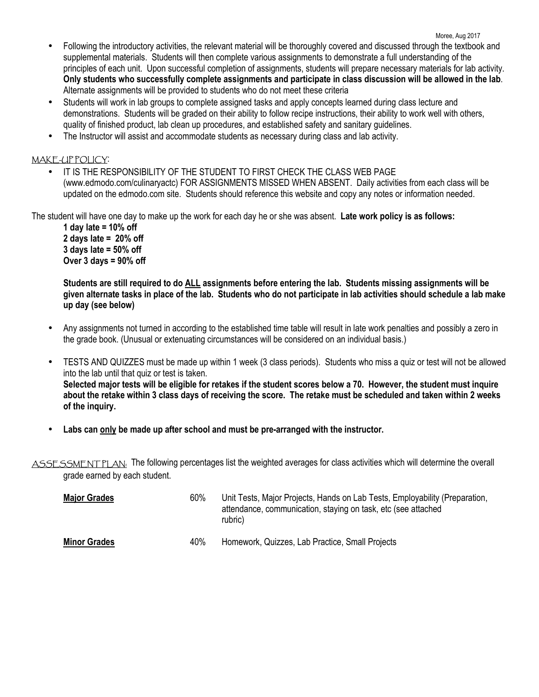- Moree, Aug 2017 • Following the introductory activities, the relevant material will be thoroughly covered and discussed through the textbook and supplemental materials. Students will then complete various assignments to demonstrate a full understanding of the principles of each unit. Upon successful completion of assignments, students will prepare necessary materials for lab activity. **Only students who successfully complete assignments and participate in class discussion will be allowed in the lab**. Alternate assignments will be provided to students who do not meet these criteria
	- Students will work in lab groups to complete assigned tasks and apply concepts learned during class lecture and demonstrations. Students will be graded on their ability to follow recipe instructions, their ability to work well with others, quality of finished product, lab clean up procedures, and established safety and sanitary guidelines.
	- The Instructor will assist and accommodate students as necessary during class and lab activity.

#### MAKE-UP POLICY:

• IT IS THE RESPONSIBILITY OF THE STUDENT TO FIRST CHECK THE CLASS WEB PAGE (www.edmodo.com/culinaryactc) FOR ASSIGNMENTS MISSED WHEN ABSENT. Daily activities from each class will be updated on the edmodo.com site. Students should reference this website and copy any notes or information needed.

The student will have one day to make up the work for each day he or she was absent. **Late work policy is as follows:**

 **1 day late = 10% off 2 days late = 20% off 3 days late = 50% off Over 3 days = 90% off** 

**Students are still required to do ALL assignments before entering the lab. Students missing assignments will be given alternate tasks in place of the lab. Students who do not participate in lab activities should schedule a lab make up day (see below)** 

- Any assignments not turned in according to the established time table will result in late work penalties and possibly a zero in the grade book. (Unusual or extenuating circumstances will be considered on an individual basis.)
- TESTS AND QUIZZES must be made up within 1 week (3 class periods). Students who miss a quiz or test will not be allowed into the lab until that quiz or test is taken. **Selected major tests will be eligible for retakes if the student scores below a 70. However, the student must inquire about the retake within 3 class days of receiving the score. The retake must be scheduled and taken within 2 weeks of the inquiry.**
- **Labs can only be made up after school and must be pre-arranged with the instructor.**

ASSESSMENT PLAN: The following percentages list the weighted averages for class activities which will determine the overall grade earned by each student.

| <b>Major Grades</b> | 60% | Unit Tests, Major Projects, Hands on Lab Tests, Employability (Preparation,<br>attendance, communication, staying on task, etc (see attached<br>rubric) |
|---------------------|-----|---------------------------------------------------------------------------------------------------------------------------------------------------------|
| <b>Minor Grades</b> | 40% | Homework, Quizzes, Lab Practice, Small Projects                                                                                                         |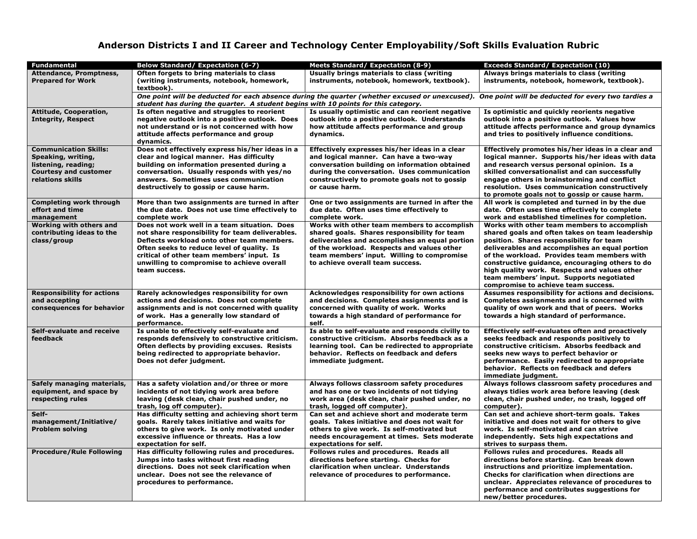#### **Anderson Districts I and II Career and Technology Center Employability/Soft Skills Evaluation Rubric**

| <b>Fundamental</b>                                                                                                            | Below Standard/Expectation (6-7)                                                                                                                                                                                                                                                                        | <b>Meets Standard/ Expectation (8-9)</b>                                                                                                                                                                                                                                      | <b>Exceeds Standard/ Expectation (10)</b>                                                                                                                                                                                                                                                                                                                                                                                         |  |  |  |  |
|-------------------------------------------------------------------------------------------------------------------------------|---------------------------------------------------------------------------------------------------------------------------------------------------------------------------------------------------------------------------------------------------------------------------------------------------------|-------------------------------------------------------------------------------------------------------------------------------------------------------------------------------------------------------------------------------------------------------------------------------|-----------------------------------------------------------------------------------------------------------------------------------------------------------------------------------------------------------------------------------------------------------------------------------------------------------------------------------------------------------------------------------------------------------------------------------|--|--|--|--|
| Attendance, Promptness,<br><b>Prepared for Work</b>                                                                           | Often forgets to bring materials to class<br>(writing instruments, notebook, homework,<br>textbook).                                                                                                                                                                                                    | Usually brings materials to class (writing<br>instruments, notebook, homework, textbook).                                                                                                                                                                                     | Always brings materials to class (writing<br>instruments, notebook, homework, textbook).                                                                                                                                                                                                                                                                                                                                          |  |  |  |  |
|                                                                                                                               | One point will be deducted for each absence during the quarter (whether excused or unexcused).<br>One point will be deducted for every two tardies a<br>student has during the quarter. A student begins with 10 points for this category.                                                              |                                                                                                                                                                                                                                                                               |                                                                                                                                                                                                                                                                                                                                                                                                                                   |  |  |  |  |
| Attitude, Cooperation,<br><b>Integrity, Respect</b>                                                                           | Is often negative and struggles to reorient<br>negative outlook into a positive outlook. Does<br>not understand or is not concerned with how<br>attitude affects performance and group<br>dynamics.                                                                                                     | Is usually optimistic and can reorient negative<br>outlook into a positive outlook. Understands<br>how attitude affects performance and group<br>dynamics.                                                                                                                    | Is optimistic and quickly reorients negative<br>outlook into a positive outlook. Values how<br>attitude affects performance and group dynamics<br>and tries to positively influence conditions.                                                                                                                                                                                                                                   |  |  |  |  |
| <b>Communication Skills:</b><br>Speaking, writing,<br>listening, reading;<br><b>Courtesy and customer</b><br>relations skills | Does not effectively express his/her ideas in a<br>clear and logical manner. Has difficulty<br>building on information presented during a<br>conversation. Usually responds with yes/no<br>answers. Sometimes uses communication<br>destructively to gossip or cause harm.                              | Effectively expresses his/her ideas in a clear<br>and logical manner. Can have a two-way<br>conversation building on information obtained<br>during the conversation. Uses communication<br>constructively to promote goals not to gossip<br>or cause harm.                   | Effectively promotes his/her ideas in a clear and<br>logical manner. Supports his/her ideas with data<br>and research versus personal opinion. Is a<br>skilled conversationalist and can successfully<br>engage others in brainstorming and conflict<br>resolution. Uses communication constructively<br>to promote goals not to gossip or cause harm.                                                                            |  |  |  |  |
| <b>Completing work through</b><br>effort and time<br>management                                                               | More than two assignments are turned in after<br>the due date. Does not use time effectively to<br>complete work                                                                                                                                                                                        | One or two assignments are turned in after the<br>due date. Often uses time effectively to<br>complete work.                                                                                                                                                                  | All work is completed and turned in by the due<br>date. Often uses time effectively to complete<br>work and established timelines for completion.                                                                                                                                                                                                                                                                                 |  |  |  |  |
| <b>Working with others and</b><br>contributing ideas to the<br>class/group                                                    | Does not work well in a team situation. Does<br>not share responsibility for team deliverables.<br>Deflects workload onto other team members.<br>Often seeks to reduce level of quality. Is<br>critical of other team members' input. Is<br>unwilling to compromise to achieve overall<br>team success. | Works with other team members to accomplish<br>shared goals. Shares responsibility for team<br>deliverables and accomplishes an equal portion<br>of the workload. Respects and values other<br>team members' input. Willing to compromise<br>to achieve overall team success. | Works with other team members to accomplish<br>shared goals and often takes on team leadership<br>position. Shares responsibility for team<br>deliverables and accomplishes an equal portion<br>of the workload. Provides team members with<br>constructive guidance, encouraging others to do<br>high quality work. Respects and values other<br>team members' input. Supports negotiated<br>compromise to achieve team success. |  |  |  |  |
| <b>Responsibility for actions</b><br>and accepting<br>consequences for behavior                                               | Rarely acknowledges responsibility for own<br>actions and decisions. Does not complete<br>assignments and is not concerned with quality<br>of work. Has a generally low standard of<br>performance.                                                                                                     | Acknowledges responsibility for own actions<br>and decisions. Completes assignments and is<br>concerned with quality of work. Works<br>towards a high standard of performance for<br>self.                                                                                    | Assumes responsibility for actions and decisions.<br>Completes assignments and is concerned with<br>quality of own work and that of peers. Works<br>towards a high standard of performance.                                                                                                                                                                                                                                       |  |  |  |  |
| Self-evaluate and receive<br>feedback                                                                                         | Is unable to effectively self-evaluate and<br>responds defensively to constructive criticism.<br>Often deflects by providing excuses. Resists<br>being redirected to appropriate behavior.<br>Does not defer judgment.                                                                                  | Is able to self-evaluate and responds civilly to<br>constructive criticism. Absorbs feedback as a<br>learning tool. Can be redirected to appropriate<br>behavior. Reflects on feedback and defers<br>immediate judgment.                                                      | Effectively self-evaluates often and proactively<br>seeks feedback and responds positively to<br>constructive criticism. Absorbs feedback and<br>seeks new ways to perfect behavior or<br>performance. Easily redirected to appropriate<br>behavior. Reflects on feedback and defers<br>immediate judgment.                                                                                                                       |  |  |  |  |
| Safely managing materials,<br>equipment, and space by<br>respecting rules                                                     | Has a safety violation and/or three or more<br>incidents of not tidying work area before<br>leaving (desk clean, chair pushed under, no<br>trash, log off computer).                                                                                                                                    | Always follows classroom safety procedures<br>and has one or two incidents of not tidying<br>work area (desk clean, chair pushed under, no<br>trash, logged off computer).                                                                                                    | Always follows classroom safety procedures and<br>always tidies work area before leaving (desk<br>clean, chair pushed under, no trash, logged off<br>computer).                                                                                                                                                                                                                                                                   |  |  |  |  |
| Self-<br>management/Initiative/<br><b>Problem solving</b>                                                                     | Has difficulty setting and achieving short term<br>goals. Rarely takes initiative and waits for<br>others to give work. Is only motivated under<br>excessive influence or threats. Has a low<br>expectation for self.                                                                                   | Can set and achieve short and moderate term<br>goals. Takes initiative and does not wait for<br>others to give work. Is self-motivated but<br>needs encouragement at times. Sets moderate<br>expectations for self.                                                           | Can set and achieve short-term goals. Takes<br>initiative and does not wait for others to give<br>work. Is self-motivated and can strive<br>independently. Sets high expectations and<br>strives to surpass them.                                                                                                                                                                                                                 |  |  |  |  |
| <b>Procedure/Rule Following</b>                                                                                               | Has difficulty following rules and procedures.<br>Jumps into tasks without first reading<br>directions. Does not seek clarification when<br>unclear. Does not see the relevance of<br>procedures to performance.                                                                                        | Follows rules and procedures. Reads all<br>directions before starting. Checks for<br>clarification when unclear. Understands<br>relevance of procedures to performance.                                                                                                       | Follows rules and procedures. Reads all<br>directions before starting. Can break down<br>instructions and prioritize implementation.<br>Checks for clarification when directions are<br>unclear. Appreciates relevance of procedures to<br>performance and contributes suggestions for<br>new/better procedures.                                                                                                                  |  |  |  |  |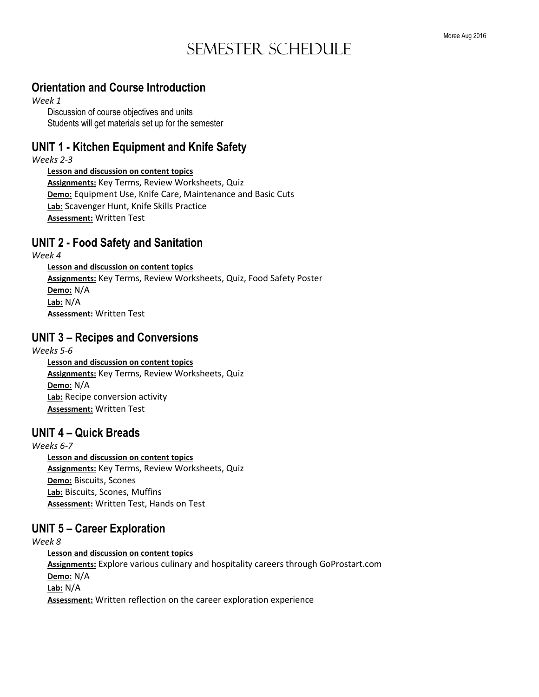## Semester Schedule

#### **Orientation and Course Introduction**

#### *Week 1*

Discussion of course objectives and units Students will get materials set up for the semester

#### **UNIT 1 - Kitchen Equipment and Knife Safety**

*Weeks 2-3* 

#### **Lesson and discussion on content topics**

**Assignments:** Key Terms, Review Worksheets, Quiz **Demo:** Equipment Use, Knife Care, Maintenance and Basic Cuts **Lab:** Scavenger Hunt, Knife Skills Practice **Assessment:** Written Test

## **UNIT 2 - Food Safety and Sanitation**

*Week 4* 

 **Lesson and discussion on content topics Assignments:** Key Terms, Review Worksheets, Quiz, Food Safety Poster **Demo:** N/A **Lab:** N/A **Assessment:** Written Test

## **UNIT 3 – Recipes and Conversions**

*Weeks 5-6*   **Lesson and discussion on content topics Assignments:** Key Terms, Review Worksheets, Quiz **Demo:** N/A **Lab:** Recipe conversion activity **Assessment:** Written Test

## **UNIT 4 – Quick Breads**

*Weeks 6-7*   **Lesson and discussion on content topics Assignments:** Key Terms, Review Worksheets, Quiz **Demo:** Biscuits, Scones **Lab:** Biscuits, Scones, Muffins **Assessment:** Written Test, Hands on Test

## **UNIT 5 – Career Exploration**

*Week 8* 

 **Lesson and discussion on content topics Assignments:** Explore various culinary and hospitality careers through GoProstart.com **Demo:** N/A **Lab:** N/A **Assessment:** Written reflection on the career exploration experience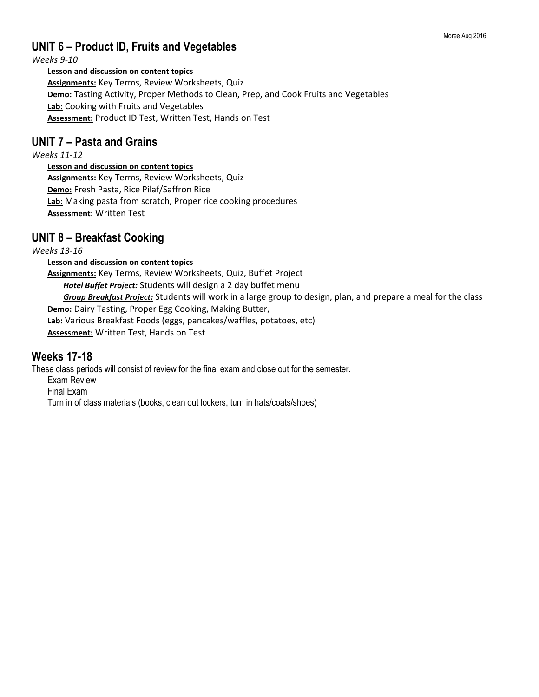#### Moree Aug 2016

## **UNIT 6 – Product ID, Fruits and Vegetables**

*Weeks 9-10* 

#### **Lesson and discussion on content topics**

**Assignments:** Key Terms, Review Worksheets, Quiz **Demo:** Tasting Activity, Proper Methods to Clean, Prep, and Cook Fruits and Vegetables **Lab:** Cooking with Fruits and Vegetables **Assessment:** Product ID Test, Written Test, Hands on Test

#### **UNIT 7 – Pasta and Grains**

*Weeks 11-12* 

 **Lesson and discussion on content topics Assignments:** Key Terms, Review Worksheets, Quiz **Demo:** Fresh Pasta, Rice Pilaf/Saffron Rice **Lab:** Making pasta from scratch, Proper rice cooking procedures **Assessment:** Written Test

#### **UNIT 8 – Breakfast Cooking**

*Weeks 13-16* 

 **Lesson and discussion on content topics** 

**Assignments:** Key Terms, Review Worksheets, Quiz, Buffet Project *Hotel Buffet Project:* Students will design a 2 day buffet menu *Group Breakfast Project:* Students will work in a large group to design, plan, and prepare a meal for the class **Demo:** Dairy Tasting, Proper Egg Cooking, Making Butter, **Lab:** Various Breakfast Foods (eggs, pancakes/waffles, potatoes, etc) **Assessment:** Written Test, Hands on Test

#### **Weeks 17-18**

These class periods will consist of review for the final exam and close out for the semester.

Exam Review

Final Exam

Turn in of class materials (books, clean out lockers, turn in hats/coats/shoes)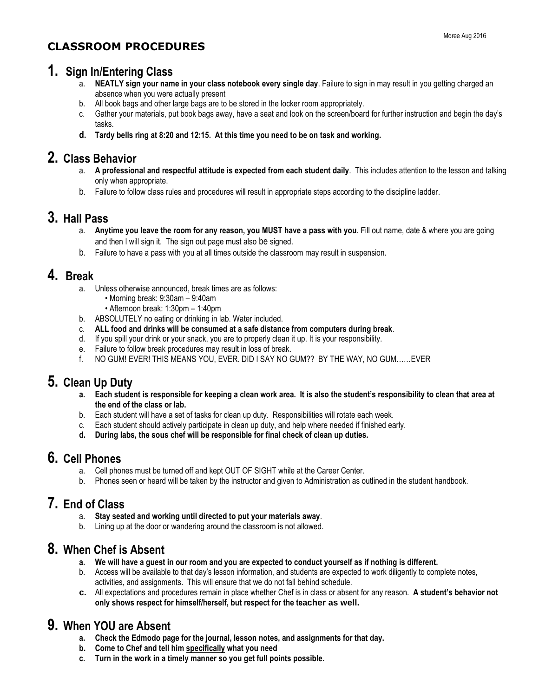## **CLASSROOM PROCEDURES**

## **1. Sign In/Entering Class**

- a. **NEATLY sign your name in your class notebook every single day**. Failure to sign in may result in you getting charged an absence when you were actually present
- b. All book bags and other large bags are to be stored in the locker room appropriately.
- c. Gather your materials, put book bags away, have a seat and look on the screen/board for further instruction and begin the day's tasks.
- **d. Tardy bells ring at 8:20 and 12:15. At this time you need to be on task and working.**

## **2. Class Behavior**

- a. **A professional and respectful attitude is expected from each student daily**. This includes attention to the lesson and talking only when appropriate.
- b. Failure to follow class rules and procedures will result in appropriate steps according to the discipline ladder.

#### **3. Hall Pass**

- a. **Anytime you leave the room for any reason, you MUST have a pass with you**. Fill out name, date & where you are going and then I will sign it. The sign out page must also be signed.
- b. Failure to have a pass with you at all times outside the classroom may result in suspension.

#### **4. Break**

- a. Unless otherwise announced, break times are as follows:
	- Morning break: 9:30am 9:40am
	- Afternoon break: 1:30pm 1:40pm
- b. ABSOLUTELY no eating or drinking in lab. Water included.
- c. **ALL food and drinks will be consumed at a safe distance from computers during break**.
- d. If you spill your drink or your snack, you are to properly clean it up. It is your responsibility.
- e. Failure to follow break procedures may result in loss of break.
- f. NO GUM! EVER! THIS MEANS YOU, EVER. DID I SAY NO GUM?? BY THE WAY, NO GUM……EVER

#### **5. Clean Up Duty**

- **a. Each student is responsible for keeping a clean work area. It is also the student's responsibility to clean that area at the end of the class or lab.**
- b. Each student will have a set of tasks for clean up duty. Responsibilities will rotate each week.
- c. Each student should actively participate in clean up duty, and help where needed if finished early.
- **d. During labs, the sous chef will be responsible for final check of clean up duties.**

## **6. Cell Phones**

- a. Cell phones must be turned off and kept OUT OF SIGHT while at the Career Center.
- b. Phones seen or heard will be taken by the instructor and given to Administration as outlined in the student handbook.

## **7. End of Class**

- a. **Stay seated and working until directed to put your materials away**.
- b. Lining up at the door or wandering around the classroom is not allowed.

## **8. When Chef is Absent**

- **a. We will have a guest in our room and you are expected to conduct yourself as if nothing is different.**
- b. Access will be available to that day's lesson information, and students are expected to work diligently to complete notes, activities, and assignments. This will ensure that we do not fall behind schedule.
- **c.** All expectations and procedures remain in place whether Chef is in class or absent for any reason. **A student's behavior not only shows respect for himself/herself, but respect for the teacher as well.**

## **9. When YOU are Absent**

- **a. Check the Edmodo page for the journal, lesson notes, and assignments for that day.**
- **b. Come to Chef and tell him specifically what you need**
- **c. Turn in the work in a timely manner so you get full points possible.**